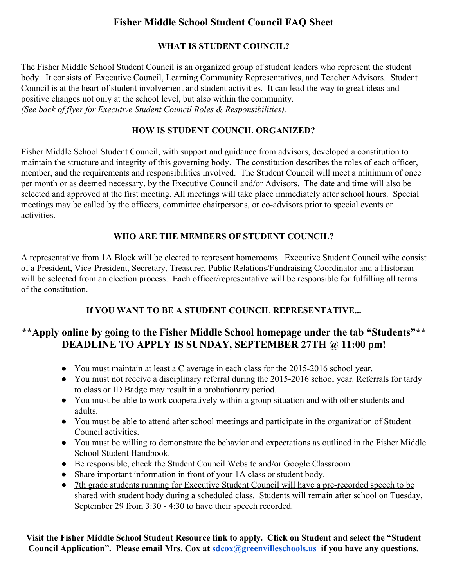# **Fisher Middle School Student Council FAQ Sheet**

#### **WHAT IS STUDENT COUNCIL?**

The Fisher Middle School Student Council is an organized group of student leaders who represent the student body. It consists of Executive Council, Learning Community Representatives, and Teacher Advisors. Student Council is at the heart of student involvement and student activities. It can lead the way to great ideas and positive changes not only at the school level, but also within the community. *(See back of flyer for Executive Student Council Roles & Responsibilities).*

#### **HOW IS STUDENT COUNCIL ORGANIZED?**

Fisher Middle School Student Council, with support and guidance from advisors, developed a constitution to maintain the structure and integrity of this governing body. The constitution describes the roles of each officer, member, and the requirements and responsibilities involved. The Student Council will meet a minimum of once per month or as deemed necessary, by the Executive Council and/or Advisors. The date and time will also be selected and approved at the first meeting. All meetings will take place immediately after school hours. Special meetings may be called by the officers, committee chairpersons, or co-advisors prior to special events or activities.

#### **WHO ARE THE MEMBERS OF STUDENT COUNCIL?**

A representative from 1A Block will be elected to represent homerooms. Executive Student Council wihc consist of a President, Vice-President, Secretary, Treasurer, Public Relations/Fundraising Coordinator and a Historian will be selected from an election process. Each officer/representative will be responsible for fulfilling all terms of the constitution.

# **If YOU WANT TO BE A STUDENT COUNCIL REPRESENTATIVE...**

# **\*\*Apply online by going to the Fisher Middle School homepage under the tab "Students"\*\* DEADLINE TO APPLY IS SUNDAY, SEPTEMBER 27TH @ 11:00 pm!**

- $\bullet$  You must maintain at least a C average in each class for the 2015-2016 school year.
- You must not receive a disciplinary referral during the 2015-2016 school year. Referrals for tardy to class or ID Badge may result in a probationary period.
- You must be able to work cooperatively within a group situation and with other students and adults.
- You must be able to attend after school meetings and participate in the organization of Student Council activities.
- You must be willing to demonstrate the behavior and expectations as outlined in the Fisher Middle School Student Handbook.
- Be responsible, check the Student Council Website and/or Google Classroom.
- Share important information in front of your 1A class or student body.
- 7th grade students running for Executive Student Council will have a pre-recorded speech to be shared with student body during a scheduled class. Students will remain after school on Tuesday, September 29 from 3:30 - 4:30 to have their speech recorded.

**Visit the Fisher Middle School Student Resource link to apply. Click on Student and select the "Student Council Application". Please email Mrs. Cox at [sdcox@greenvilleschools.us](mailto:sdcox@greenvilleschools.us)if you have any questions.**